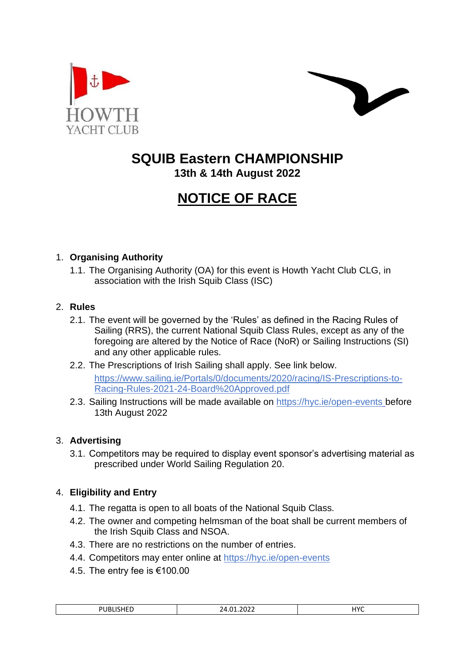



# **SQUIB Eastern CHAMPIONSHIP**

**13th & 14th August 2022**

# **NOTICE OF RACE**

# 1. **Organising Authority**

1.1. The Organising Authority (OA) for this event is Howth Yacht Club CLG, in association with the Irish Squib Class (ISC)

#### 2. **Rules**

- 2.1. The event will be governed by the 'Rules' as defined in the Racing Rules of Sailing (RRS), the current National Squib Class Rules, except as any of the foregoing are altered by the Notice of Race (NoR) or Sailing Instructions (SI) and any other applicable rules.
- 2.2. The Prescriptions of Irish Sailing shall apply. See link below. [https://www.sailing.ie/Portals/0/documents/2020/racing/IS-Prescriptions-to-](https://www.sailing.ie/Portals/0/documents/2020/racing/IS-Prescriptions-to-Racing-Rules-2021-24-Board%20Approved.pdf)[Racing-Rules-2021-24-Board%20Approved.pdf](https://www.sailing.ie/Portals/0/documents/2020/racing/IS-Prescriptions-to-Racing-Rules-2021-24-Board%20Approved.pdf)
- 2.3. Sailing Instructions will be made available on<https://hyc.ie/open-events> before 13th August 2022

# 3. **Advertising**

3.1. Competitors may be required to display event sponsor's advertising material as prescribed under World Sailing Regulation 20.

# 4. **Eligibility and Entry**

- 4.1. The regatta is open to all boats of the National Squib Class.
- 4.2. The owner and competing helmsman of the boat shall be current members of the Irish Squib Class and NSOA.
- 4.3. There are no restrictions on the number of entries.
- 4.4. Competitors may enter online at<https://hyc.ie/open-events>
- 4.5. The entry fee is €100.00

| .<br>ם כי<br>3 E L<br>1 L L | 2022<br>$\mathbf{A}$<br>1 ל | uvc<br>.<br>__ |
|-----------------------------|-----------------------------|----------------|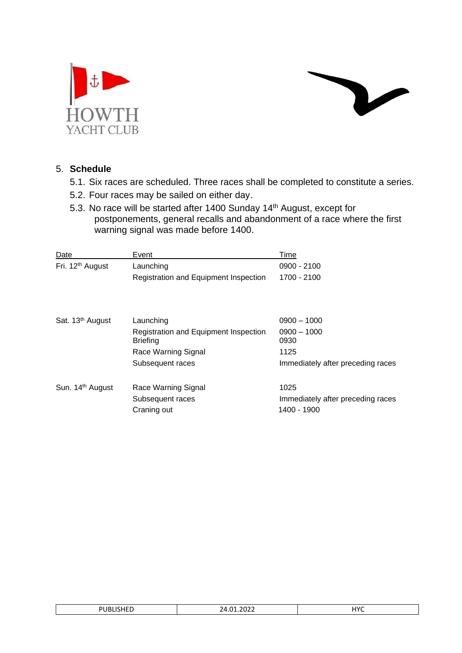



#### 5. **Schedule**

- 5.1. Six races are scheduled. Three races shall be completed to constitute a series.
- 5.2. Four races may be sailed on either day.
- 5.3. No race will be started after 1400 Sunday 14<sup>th</sup> August, except for postponements, general recalls and abandonment of a race where the first warning signal was made before 1400.

| Date                         | Event                                                    | Time                              |
|------------------------------|----------------------------------------------------------|-----------------------------------|
| Fri. 12 <sup>th</sup> August | Launching                                                | $0900 - 2100$                     |
|                              | Registration and Equipment Inspection                    | 1700 - 2100                       |
|                              |                                                          |                                   |
| Sat. 13 <sup>th</sup> August | Launching                                                | $0900 - 1000$                     |
|                              | Registration and Equipment Inspection<br><b>Briefing</b> | $0900 - 1000$<br>0930             |
|                              | Race Warning Signal                                      | 1125                              |
|                              | Subsequent races                                         | Immediately after preceding races |
| Sun. 14 <sup>th</sup> August | Race Warning Signal                                      | 1025                              |
|                              | Subsequent races                                         | Immediately after preceding races |
|                              | Craning out                                              | 1400 - 1900                       |

| $- -$          |                      |                         |
|----------------|----------------------|-------------------------|
| ንሀBLISI<br>・ヒレ | 1.2022<br>14.01<br>. | <b>LIVC</b><br>$\cdots$ |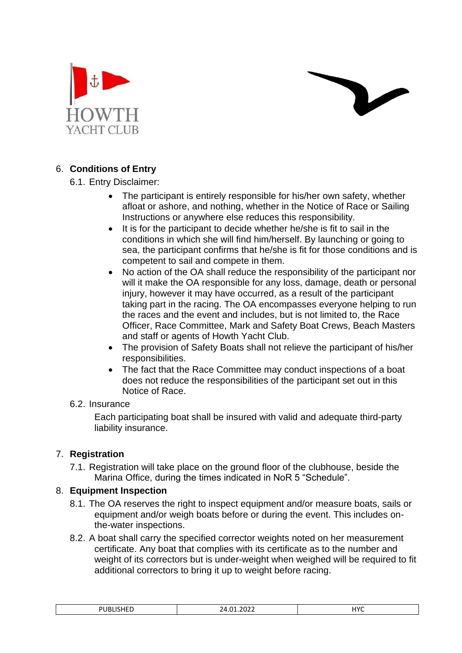



# 6. **Conditions of Entry**

# 6.1. Entry Disclaimer:

- The participant is entirely responsible for his/her own safety, whether afloat or ashore, and nothing, whether in the Notice of Race or Sailing Instructions or anywhere else reduces this responsibility.
- It is for the participant to decide whether he/she is fit to sail in the conditions in which she will find him/herself. By launching or going to sea, the participant confirms that he/she is fit for those conditions and is competent to sail and compete in them.
- No action of the OA shall reduce the responsibility of the participant nor will it make the OA responsible for any loss, damage, death or personal injury, however it may have occurred, as a result of the participant taking part in the racing. The OA encompasses everyone helping to run the races and the event and includes, but is not limited to, the Race Officer, Race Committee, Mark and Safety Boat Crews, Beach Masters and staff or agents of Howth Yacht Club.
- The provision of Safety Boats shall not relieve the participant of his/her responsibilities.
- The fact that the Race Committee may conduct inspections of a boat does not reduce the responsibilities of the participant set out in this Notice of Race.

#### 6.2. Insurance

Each participating boat shall be insured with valid and adequate third-party liability insurance.

# 7. **Registration**

7.1. Registration will take place on the ground floor of the clubhouse, beside the Marina Office, during the times indicated in NoR 5 "Schedule".

# 8. **Equipment Inspection**

- 8.1. The OA reserves the right to inspect equipment and/or measure boats, sails or equipment and/or weigh boats before or during the event. This includes onthe-water inspections.
- 8.2. A boat shall carry the specified corrector weights noted on her measurement certificate. Any boat that complies with its certificate as to the number and weight of its correctors but is under-weight when weighed will be required to fit additional correctors to bring it up to weight before racing.

| 30.25<br>$\sim$<br>ΙЛ. | uvr |
|------------------------|-----|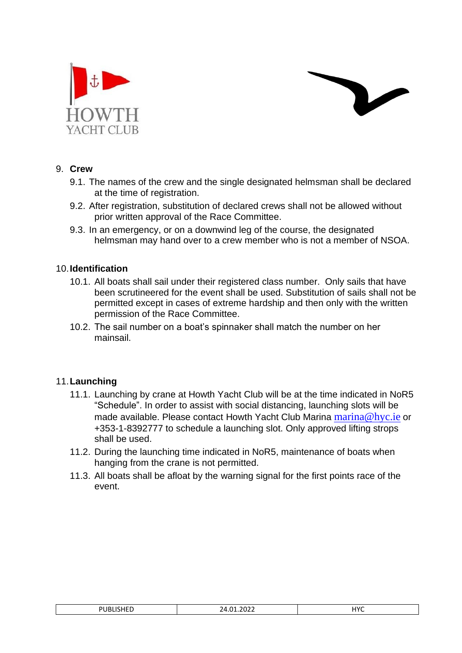



#### 9. **Crew**

- 9.1. The names of the crew and the single designated helmsman shall be declared at the time of registration.
- 9.2. After registration, substitution of declared crews shall not be allowed without prior written approval of the Race Committee.
- 9.3. In an emergency, or on a downwind leg of the course, the designated helmsman may hand over to a crew member who is not a member of NSOA.

#### 10.**Identification**

- 10.1. All boats shall sail under their registered class number. Only sails that have been scrutineered for the event shall be used. Substitution of sails shall not be permitted except in cases of extreme hardship and then only with the written permission of the Race Committee.
- 10.2. The sail number on a boat's spinnaker shall match the number on her mainsail.

# 11.**Launching**

- 11.1. Launching by crane at Howth Yacht Club will be at the time indicated in NoR5 "Schedule". In order to assist with social distancing, launching slots will be made available. Please contact Howth Yacht Club Marina [marina@hyc.ie](mailto:marina@hyc.ie) or +353-1-8392777 to schedule a launching slot. Only approved lifting strops shall be used.
- 11.2. During the launching time indicated in NoR5, maintenance of boats when hanging from the crane is not permitted.
- 11.3. All boats shall be afloat by the warning signal for the first points race of the event.

| uvc<br>101101100<br>ำกวา<br>ים<br>$\sim$<br>$\sqrt{ }$<br>UDLIJHLU<br>Z4.UI.ZUZZ |
|----------------------------------------------------------------------------------|
|----------------------------------------------------------------------------------|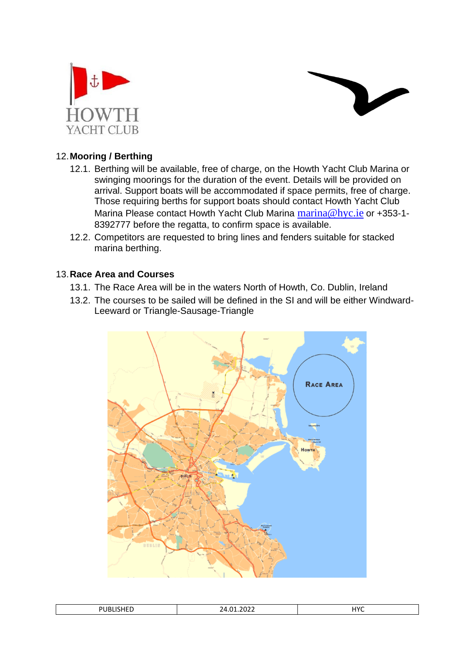



# 12.**Mooring / Berthing**

- 12.1. Berthing will be available, free of charge, on the Howth Yacht Club Marina or swinging moorings for the duration of the event. Details will be provided on arrival. Support boats will be accommodated if space permits, free of charge. Those requiring berths for support boats should contact Howth Yacht Club Marina Please contact Howth Yacht Club Marina [marina@hyc.ie](mailto:marina@hyc.ie) or +353-1-8392777 before the regatta, to confirm space is available.
- 12.2. Competitors are requested to bring lines and fenders suitable for stacked marina berthing.

#### 13.**Race Area and Courses**

- 13.1. The Race Area will be in the waters North of Howth, Co. Dublin, Ireland
- 13.2. The courses to be sailed will be defined in the SI and will be either Windward-Leeward or Triangle-Sausage-Triangle



| יר<br><b>0060160</b> | $- - - -$<br>$\sim$<br>,,<br>ZT.UI.LULL | ⊣∨r<br>.<br>____ |
|----------------------|-----------------------------------------|------------------|
|----------------------|-----------------------------------------|------------------|